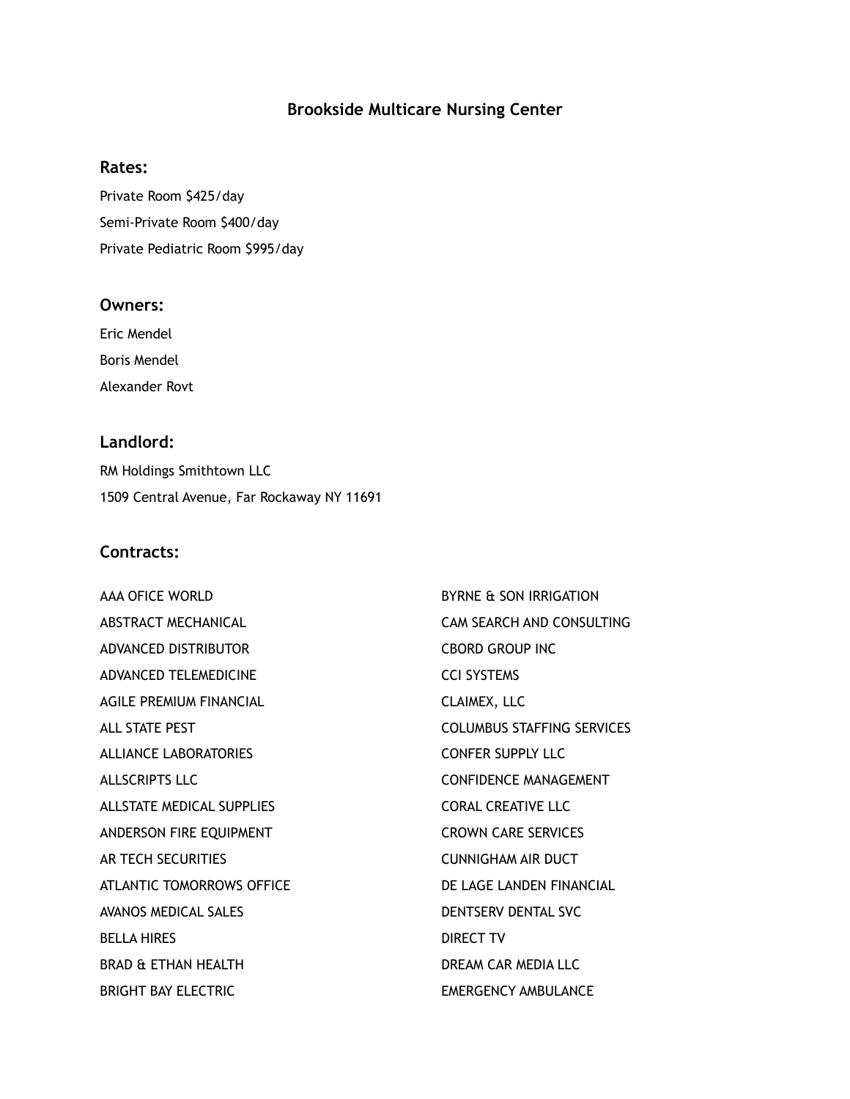# **Brookside Multicare Nursing Center**

#### **Rates:**

Private Room \$425/day Semi-Private Room \$400/day Private Pediatric Room \$995/day

# **Owners:**

Eric Mendel Boris Mendel Alexander Rovt

# **Landlord:**

RM Holdings Smithtown LLC 1509 Central Avenue, Far Rockaway NY 11691

# **Contracts:**

AAA OFICE WORLD ABSTRACT MECHANICAL ADVANCED DISTRIBUTOR ADVANCED TELEMEDICINE AGILE PREMIUM FINANCIAL ALL STATE PEST ALLIANCE LABORATORIES ALLSCRIPTS LLC ALLSTATE MEDICAL SUPPLIES ANDERSON FIRE EQUIPMENT AR TECH SECURITIES ATLANTIC TOMORROWS OFFICE AVANOS MEDICAL SALES BELLA HIRES BRAD & ETHAN HEALTH BRIGHT BAY ELECTRIC

BYRNE & SON IRRIGATION CAM SEARCH AND CONSULTING CBORD GROUP INC CCI SYSTEMS CLAIMEX, LLC COLUMBUS STAFFING SERVICES CONFER SUPPLY LLC CONFIDENCE MANAGEMENT CORAL CREATIVE LLC CROWN CARE SERVICES CUNNIGHAM AIR DUCT DE LAGE LANDEN FINANCIAL DENTSERV DENTAL SVC DIRECT TV DREAM CAR MEDIA LLC EMERGENCY AMBULANCE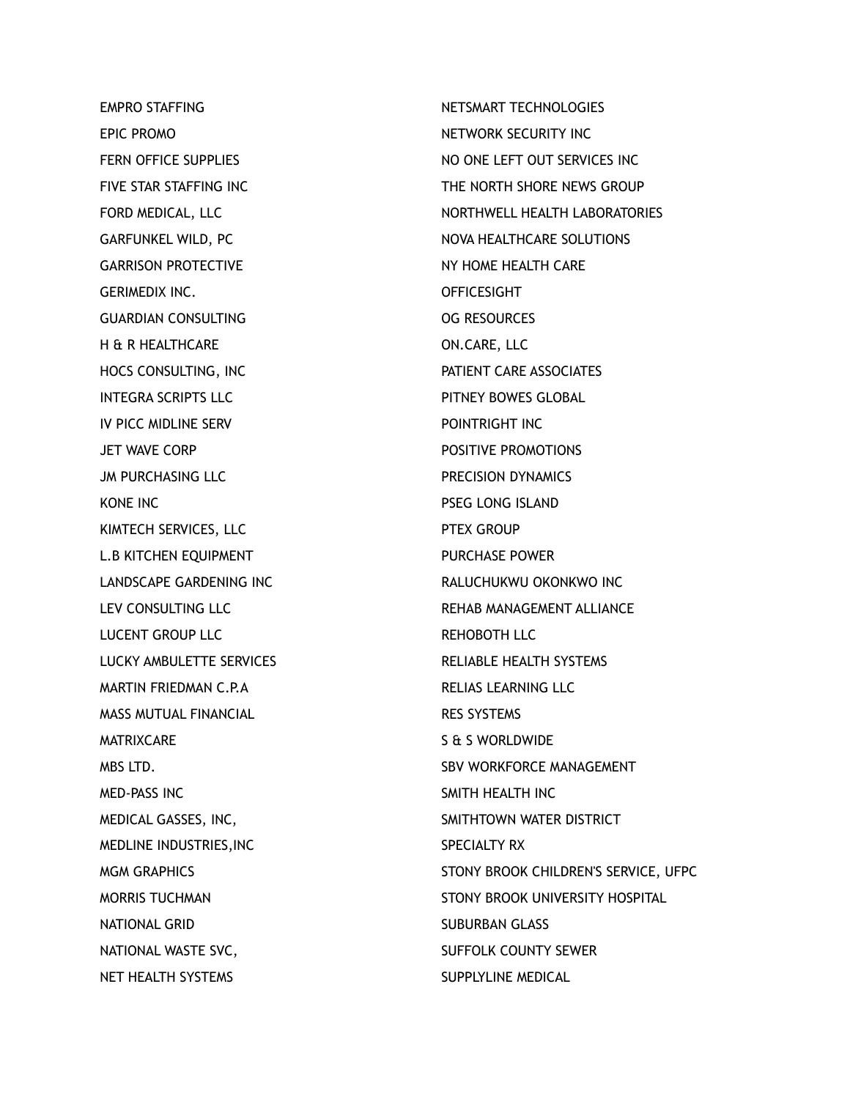EMPRO STAFFING EPIC PROMO FERN OFFICE SUPPLIES FIVE STAR STAFFING INC FORD MEDICAL, LLC GARFUNKEL WILD, PC GARRISON PROTECTIVE GERIMEDIX INC. GUARDIAN CONSULTING H & R HEALTHCARE HOCS CONSULTING, INC INTEGRA SCRIPTS LLC IV PICC MIDLINE SERV JET WAVE CORP JM PURCHASING LLC KONE INC KIMTECH SERVICES, LLC L.B KITCHEN EQUIPMENT LANDSCAPE GARDENING INC LEV CONSULTING LLC LUCENT GROUP LLC LUCKY AMBULETTE SERVICES MARTIN FRIEDMAN C.P.A MASS MUTUAL FINANCIAL MATRIXCARE MBS LTD. MED-PASS INC MEDICAL GASSES, INC, MEDLINE INDUSTRIES,INC MGM GRAPHICS MORRIS TUCHMAN NATIONAL GRID NATIONAL WASTE SVC, NET HEALTH SYSTEMS

NETSMART TECHNOLOGIES NETWORK SECURITY INC NO ONE LEFT OUT SERVICES INC THE NORTH SHORE NEWS GROUP NORTHWELL HEALTH LABORATORIES NOVA HEALTHCARE SOLUTIONS NY HOME HEALTH CARE **OFFICESIGHT** OG RESOURCES ON.CARE, LLC PATIENT CARE ASSOCIATES PITNEY BOWES GLOBAL POINTRIGHT INC POSITIVE PROMOTIONS PRECISION DYNAMICS PSEG LONG ISLAND PTEX GROUP PURCHASE POWER RALUCHUKWU OKONKWO INC REHAB MANAGEMENT ALLIANCE REHOBOTH LLC RELIABLE HEALTH SYSTEMS RELIAS LEARNING LLC RES SYSTEMS S & S WORLDWIDE SBV WORKFORCE MANAGEMENT SMITH HEALTH INC SMITHTOWN WATER DISTRICT SPECIALTY RX STONY BROOK CHILDREN'S SERVICE, UFPC STONY BROOK UNIVERSITY HOSPITAL SUBURBAN GLASS SUFFOLK COUNTY SEWER SUPPLYLINE MEDICAL